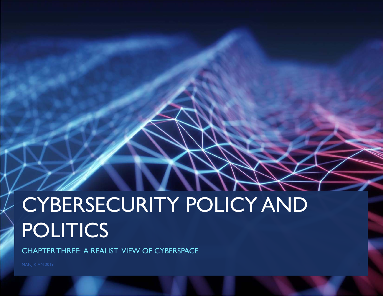# CYBERSECURITY POLICY AND POLITICS

CHAPTER THREE: A REALIST VIEW OF CYBERSPACE

MANJIKIAN 2019 **1986 - Pada Secara Perancil Perancil** Perancil Perancil Perancil Perancil Perancil Perancil Perancil Perancil Perancil Perancil Perancil Perancil Perancil Perancil Perancil Perancil Perancil Perancil Peranc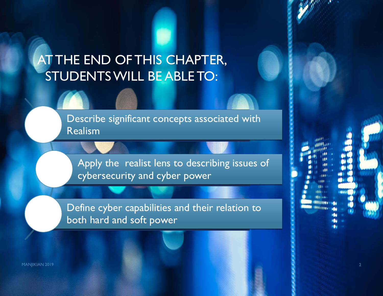# AT THE END OF THIS CHAPTER, STUDENTS WILL BE ABLE TO:

Describe significant concepts associated with Realism

Apply the realist lens to describing issues of cybersecurity and cyber power

Define cyber capabilities and their relation to both hard and soft power

MANJIKIAN 2019 **2018 - Pamasang Pamasang Pamasang Pamasang Pamasang Pamasang Pamasang Pamasang Pamasang Pamasang**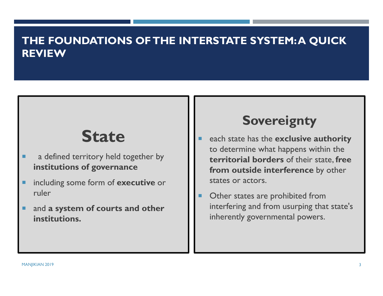#### **THE FOUNDATIONS OF THE INTERSTATE SYSTEM: A QUICK REVIEW**

# **State**

- ٠ a defined territory held together by **institutions of governance**
- п including some form of **executive** or ruler
- п and **a system of courts and other institutions.**

#### **Sovereignty**

- ▉ each state has the **exclusive authority**  to determine what happens within the **territorial borders** of their state, **free from outside interference** by other states or actors.
- Other states are prohibited from interfering and from usurping that state's inherently governmental powers.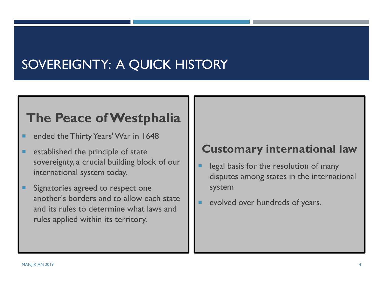# SOVEREIGNTY: A QUICK HISTORY

#### **The Peace of Westphalia**

- ٠ ended the Thirty Years' War in 1648
- п established the principle of state sovereignty, a crucial building block of our international system today.
- ٠ Signatories agreed to respect one another's borders and to allow each state and its rules to determine what laws and rules applied within its territory.

#### **Customary international law**

- legal basis for the resolution of many disputes among states in the international system
- evolved over hundreds of years.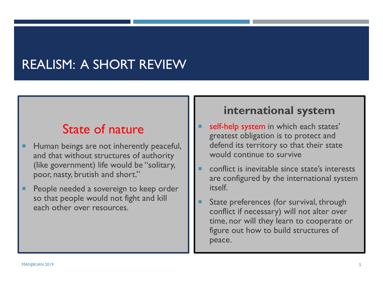## REALISM: A SHORT REVIEW

#### State of nature

- п Human beings are not inherently peaceful, and that without structures of authority (like government) life would be "solitary, poor, nasty, brutish and short."
- ш People needed a sovereign to keep order so that people would not fight and kill each other over resources.

#### **international system**

- Г self-help system in which each states' greatest obligation is to protect and defend its territory so that their state would continue to survive
- conflict is inevitable since state's interests are configured by the international system itself.
- Г State preferences (for survival, through conflict if necessary) will not alter over time, nor will they learn to cooperate or figure out how to build structures of peace.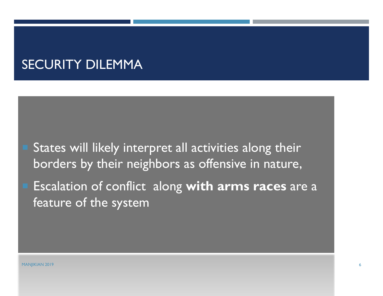#### SECURITY DILEMMA

 States will likely interpret all activities along their borders by their neighbors as offensive in nature,

 Escalation of conflict along **with arms races** are a feature of the system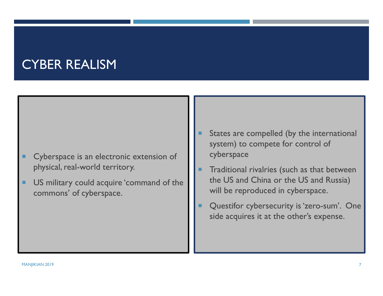#### CYBER REALISM

- ш Cyberspace is an electronic extension of physical, real-world territory.
- п US military could acquire 'command of the commons' of cyberspace.
- Г States are compelled (by the international system) to compete for control of cyberspace
- . Traditional rivalries (such as that between the US and China or the US and Russia) will be reproduced in cyberspace.
- Questifor cybersecurity is 'zero-sum'. One side acquires it at the other's expense.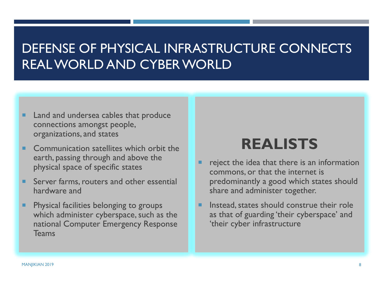#### DEFENSE OF PHYSICAL INFRASTRUCTURE CONNECTS REAL WORLD AND CYBER WORLD

- п Land and undersea cables that produce connections amongst people, organizations, and states
- ٠ Communication satellites which orbit the earth, passing through and above the physical space of specific states
- ٠ Server farms, routers and other essential hardware and
- п Physical facilities belonging to groups which administer cyberspace, such as the national Computer Emergency Response Teams

# **REALISTS**

- reject the idea that there is an information commons, or that the internet is predominantly a good which states should share and administer together.
- Г Instead, states should construe their role as that of guarding 'their cyberspace' and 'their cyber infrastructure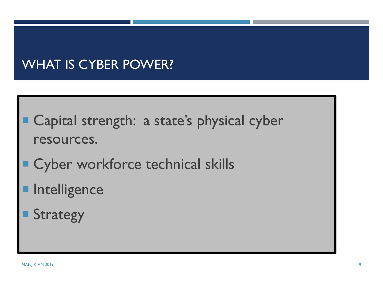# WHAT IS CYBER POWER?

- Capital strength: a state's physical cyber resources.
- **E Cyber workforce technical skills**
- Intelligence
- Strategy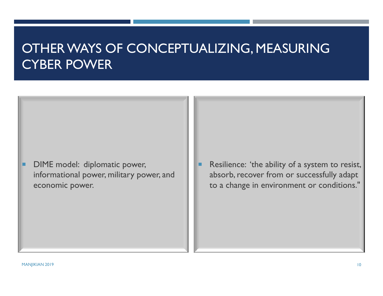#### OTHER WAYS OF CONCEPTUALIZING, MEASURING CYBER POWER

- п DIME model: diplomatic power, informational power, military power, and economic power.
- ш Resilience: 'the ability of a system to resist, absorb, recover from or successfully adapt to a change in environment or conditions."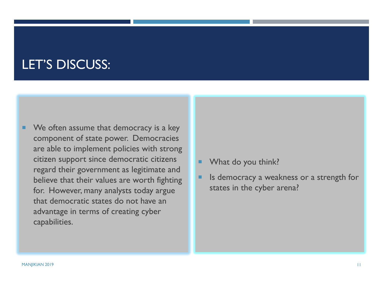#### LET'S DISCUSS:

- ٠ We often assume that democracy is a key component of state power. Democracies are able to implement policies with strong citizen support since democratic citizens regard their government as legitimate and believe that their values are worth fighting for. However, many analysts today argue that democratic states do not have an advantage in terms of creating cyber capabilities.
- ×. What do you think?
- Is democracy a weakness or a strength for states in the cyber arena?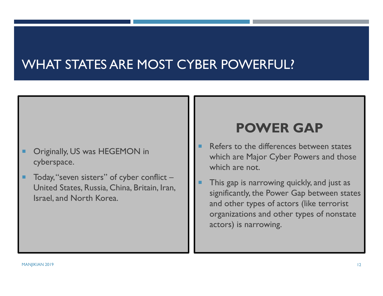#### WHAT STATES ARE MOST CYBER POWERFUL?

- Originally, US was HEGEMON in cyberspace.
- ш Today, "seven sisters" of cyber conflict – United States, Russia, China, Britain, Iran, Israel, and North Korea.

#### **POWER GAP**

- Refers to the differences between states which are Major Cyber Powers and those which are not.
- This gap is narrowing quickly, and just as significantly, the Power Gap between states and other types of actors (like terrorist organizations and other types of nonstate actors) is narrowing.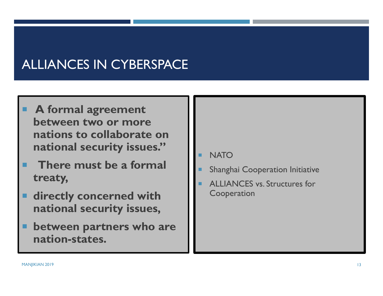# ALLIANCES IN CYBERSPACE

- **A formal agreement between two or more nations to collaborate on national security issues."**
- **There must be a formal treaty,**
- **directly concerned with national security issues,**
- п **between partners who are nation-states.**
- **NATO**
- Shanghai Cooperation Initiative
- ALLIANCES vs. Structures for Cooperation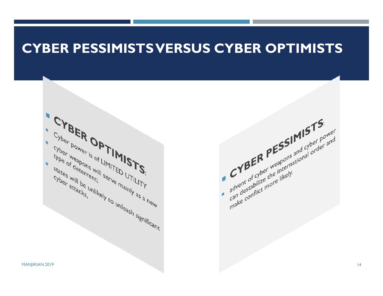#### **CYBER PESSIMISTS VERSUS CYBER OPTIMISTS**